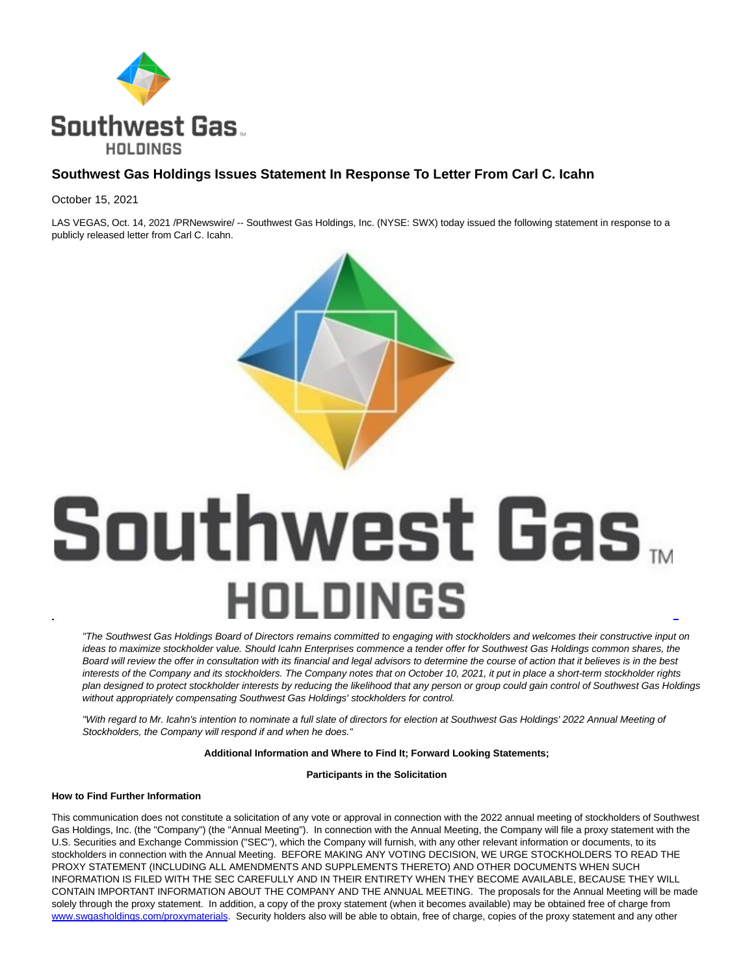

# **Southwest Gas Holdings Issues Statement In Response To Letter From Carl C. Icahn**

October 15, 2021

LAS VEGAS, Oct. 14, 2021 /PRNewswire/ -- Southwest Gas Holdings, Inc. (NYSE: SWX) today issued the following statement in response to a publicly released letter from Carl C. Icahn.



# Southwest Gas... HOLDINGS l

"The Southwest Gas Holdings Board of Directors remains committed to engaging with stockholders and welcomes their constructive input on ideas to maximize stockholder value. Should Icahn Enterprises commence a tender offer for Southwest Gas Holdings common shares, the Board will review the offer in consultation with its financial and legal advisors to determine the course of action that it believes is in the best interests of the Company and its stockholders. The Company notes that on October 10, 2021, it put in place a short-term stockholder rights plan designed to protect stockholder interests by reducing the likelihood that any person or group could gain control of Southwest Gas Holdings without appropriately compensating Southwest Gas Holdings' stockholders for control.

"With regard to Mr. Icahn's intention to nominate a full slate of directors for election at Southwest Gas Holdings' 2022 Annual Meeting of Stockholders, the Company will respond if and when he does."

### **Additional Information and Where to Find It; Forward Looking Statements;**

**Participants in the Solicitation**

# **How to Find Further Information**

This communication does not constitute a solicitation of any vote or approval in connection with the 2022 annual meeting of stockholders of Southwest Gas Holdings, Inc. (the "Company") (the "Annual Meeting"). In connection with the Annual Meeting, the Company will file a proxy statement with the U.S. Securities and Exchange Commission ("SEC"), which the Company will furnish, with any other relevant information or documents, to its stockholders in connection with the Annual Meeting. BEFORE MAKING ANY VOTING DECISION, WE URGE STOCKHOLDERS TO READ THE PROXY STATEMENT (INCLUDING ALL AMENDMENTS AND SUPPLEMENTS THERETO) AND OTHER DOCUMENTS WHEN SUCH INFORMATION IS FILED WITH THE SEC CAREFULLY AND IN THEIR ENTIRETY WHEN THEY BECOME AVAILABLE, BECAUSE THEY WILL CONTAIN IMPORTANT INFORMATION ABOUT THE COMPANY AND THE ANNUAL MEETING. The proposals for the Annual Meeting will be made solely through the proxy statement. In addition, a copy of the proxy statement (when it becomes available) may be obtained free of charge from [www.swgasholdings.com/proxymaterials.](https://c212.net/c/link/?t=0&l=en&o=3324489-1&h=1358384336&u=https%3A%2F%2Fprotect-us.mimecast.com%2Fs%2FWGvoCR65kXUvGEQxQHN_gmC%3Fdomain%3Dswgasholdings.com&a=www.swgasholdings.com%2Fproxymaterials) Security holders also will be able to obtain, free of charge, copies of the proxy statement and any other